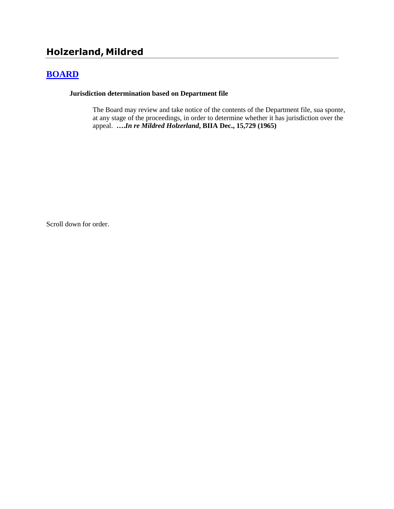# **Holzerland, Mildred**

## **[BOARD](http://www.biia.wa.gov/SDSubjectIndex.html#BOARD)**

### **Jurisdiction determination based on Department file**

The Board may review and take notice of the contents of the Department file, sua sponte, at any stage of the proceedings, in order to determine whether it has jurisdiction over the appeal. **….***In re Mildred Holzerland***, BIIA Dec., 15,729 (1965)** 

Scroll down for order.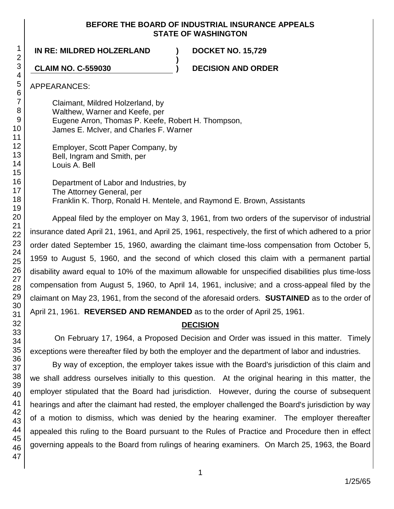### **BEFORE THE BOARD OF INDUSTRIAL INSURANCE APPEALS STATE OF WASHINGTON**

**IN RE: MILDRED HOLZERLAND ) DOCKET NO. 15,729**

**CLAIM NO. C-559030 ) DECISION AND ORDER**

APPEARANCES:

Claimant, Mildred Holzerland, by Walthew, Warner and Keefe, per Eugene Arron, Thomas P. Keefe, Robert H. Thompson, James E. McIver, and Charles F. Warner

Department of Labor and Industries, by The Attorney General, per Franklin K. Thorp, Ronald H. Mentele, and Raymond E. Brown, Assistants

**)**

Appeal filed by the employer on May 3, 1961, from two orders of the supervisor of industrial insurance dated April 21, 1961, and April 25, 1961, respectively, the first of which adhered to a prior order dated September 15, 1960, awarding the claimant time-loss compensation from October 5, 1959 to August 5, 1960, and the second of which closed this claim with a permanent partial disability award equal to 10% of the maximum allowable for unspecified disabilities plus time-loss compensation from August 5, 1960, to April 14, 1961, inclusive; and a cross-appeal filed by the claimant on May 23, 1961, from the second of the aforesaid orders. **SUSTAINED** as to the order of April 21, 1961. **REVERSED AND REMANDED** as to the order of April 25, 1961.

## **DECISION**

On February 17, 1964, a Proposed Decision and Order was issued in this matter. Timely exceptions were thereafter filed by both the employer and the department of labor and industries.

By way of exception, the employer takes issue with the Board's jurisdiction of this claim and we shall address ourselves initially to this question. At the original hearing in this matter, the employer stipulated that the Board had jurisdiction. However, during the course of subsequent hearings and after the claimant had rested, the employer challenged the Board's jurisdiction by way of a motion to dismiss, which was denied by the hearing examiner. The employer thereafter appealed this ruling to the Board pursuant to the Rules of Practice and Procedure then in effect governing appeals to the Board from rulings of hearing examiners. On March 25, 1963, the Board

Employer, Scott Paper Company, by Bell, Ingram and Smith, per Louis A. Bell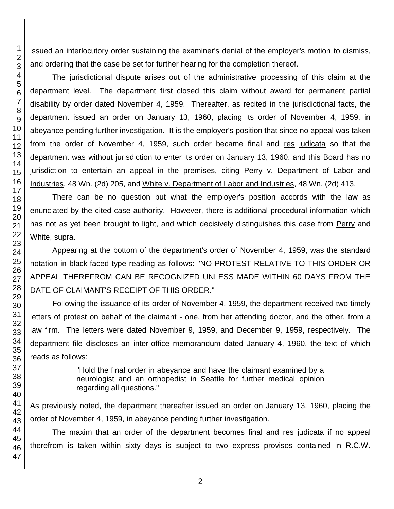issued an interlocutory order sustaining the examiner's denial of the employer's motion to dismiss, and ordering that the case be set for further hearing for the completion thereof.

The jurisdictional dispute arises out of the administrative processing of this claim at the department level. The department first closed this claim without award for permanent partial disability by order dated November 4, 1959. Thereafter, as recited in the jurisdictional facts, the department issued an order on January 13, 1960, placing its order of November 4, 1959, in abeyance pending further investigation. It is the employer's position that since no appeal was taken from the order of November 4, 1959, such order became final and res judicata so that the department was without jurisdiction to enter its order on January 13, 1960, and this Board has no jurisdiction to entertain an appeal in the premises, citing Perry v. Department of Labor and Industries, 48 Wn. (2d) 205, and White v. Department of Labor and Industries, 48 Wn. (2d) 413.

There can be no question but what the employer's position accords with the law as enunciated by the cited case authority. However, there is additional procedural information which has not as yet been brought to light, and which decisively distinguishes this case from Perry and White, supra.

Appearing at the bottom of the department's order of November 4, 1959, was the standard notation in black-faced type reading as follows: "NO PROTEST RELATIVE TO THIS ORDER OR APPEAL THEREFROM CAN BE RECOGNIZED UNLESS MADE WITHIN 60 DAYS FROM THE DATE OF CLAIMANT'S RECEIPT OF THIS ORDER."

Following the issuance of its order of November 4, 1959, the department received two timely letters of protest on behalf of the claimant - one, from her attending doctor, and the other, from a law firm. The letters were dated November 9, 1959, and December 9, 1959, respectively. The department file discloses an inter-office memorandum dated January 4, 1960, the text of which reads as follows:

> "Hold the final order in abeyance and have the claimant examined by a neurologist and an orthopedist in Seattle for further medical opinion regarding all questions."

As previously noted, the department thereafter issued an order on January 13, 1960, placing the order of November 4, 1959, in abeyance pending further investigation.

The maxim that an order of the department becomes final and res judicata if no appeal therefrom is taken within sixty days is subject to two express provisos contained in R.C.W.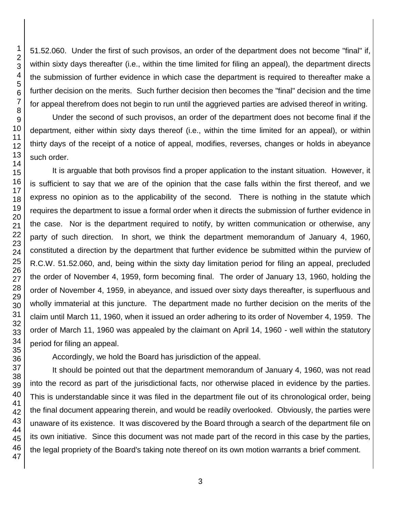51.52.060. Under the first of such provisos, an order of the department does not become "final" if, within sixty days thereafter (i.e., within the time limited for filing an appeal), the department directs the submission of further evidence in which case the department is required to thereafter make a further decision on the merits. Such further decision then becomes the "final" decision and the time for appeal therefrom does not begin to run until the aggrieved parties are advised thereof in writing.

Under the second of such provisos, an order of the department does not become final if the department, either within sixty days thereof (i.e., within the time limited for an appeal), or within thirty days of the receipt of a notice of appeal, modifies, reverses, changes or holds in abeyance such order.

It is arguable that both provisos find a proper application to the instant situation. However, it is sufficient to say that we are of the opinion that the case falls within the first thereof, and we express no opinion as to the applicability of the second. There is nothing in the statute which requires the department to issue a formal order when it directs the submission of further evidence in the case. Nor is the department required to notify, by written communication or otherwise, any party of such direction. In short, we think the department memorandum of January 4, 1960, constituted a direction by the department that further evidence be submitted within the purview of R.C.W. 51.52.060, and, being within the sixty day limitation period for filing an appeal, precluded the order of November 4, 1959, form becoming final. The order of January 13, 1960, holding the order of November 4, 1959, in abeyance, and issued over sixty days thereafter, is superfluous and wholly immaterial at this juncture. The department made no further decision on the merits of the claim until March 11, 1960, when it issued an order adhering to its order of November 4, 1959. The order of March 11, 1960 was appealed by the claimant on April 14, 1960 - well within the statutory period for filing an appeal.

Accordingly, we hold the Board has jurisdiction of the appeal.

It should be pointed out that the department memorandum of January 4, 1960, was not read into the record as part of the jurisdictional facts, nor otherwise placed in evidence by the parties. This is understandable since it was filed in the department file out of its chronological order, being the final document appearing therein, and would be readily overlooked. Obviously, the parties were unaware of its existence. It was discovered by the Board through a search of the department file on its own initiative. Since this document was not made part of the record in this case by the parties, the legal propriety of the Board's taking note thereof on its own motion warrants a brief comment.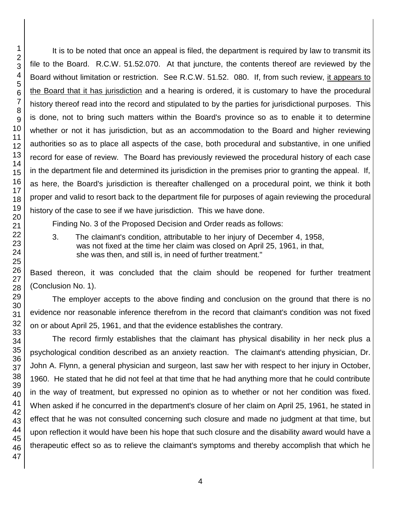It is to be noted that once an appeal is filed, the department is required by law to transmit its file to the Board. R.C.W. 51.52.070. At that juncture, the contents thereof are reviewed by the Board without limitation or restriction. See R.C.W. 51.52. 080. If, from such review, it appears to the Board that it has jurisdiction and a hearing is ordered, it is customary to have the procedural history thereof read into the record and stipulated to by the parties for jurisdictional purposes. This is done, not to bring such matters within the Board's province so as to enable it to determine whether or not it has jurisdiction, but as an accommodation to the Board and higher reviewing authorities so as to place all aspects of the case, both procedural and substantive, in one unified record for ease of review. The Board has previously reviewed the procedural history of each case in the department file and determined its jurisdiction in the premises prior to granting the appeal. If, as here, the Board's jurisdiction is thereafter challenged on a procedural point, we think it both proper and valid to resort back to the department file for purposes of again reviewing the procedural history of the case to see if we have jurisdiction. This we have done.

Finding No. 3 of the Proposed Decision and Order reads as follows:

3. The claimant's condition, attributable to her injury of December 4, 1958, was not fixed at the time her claim was closed on April 25, 1961, in that, she was then, and still is, in need of further treatment."

Based thereon, it was concluded that the claim should be reopened for further treatment (Conclusion No. 1).

The employer accepts to the above finding and conclusion on the ground that there is no evidence nor reasonable inference therefrom in the record that claimant's condition was not fixed on or about April 25, 1961, and that the evidence establishes the contrary.

The record firmly establishes that the claimant has physical disability in her neck plus a psychological condition described as an anxiety reaction. The claimant's attending physician, Dr. John A. Flynn, a general physician and surgeon, last saw her with respect to her injury in October, 1960. He stated that he did not feel at that time that he had anything more that he could contribute in the way of treatment, but expressed no opinion as to whether or not her condition was fixed. When asked if he concurred in the department's closure of her claim on April 25, 1961, he stated in effect that he was not consulted concerning such closure and made no judgment at that time, but upon reflection it would have been his hope that such closure and the disability award would have a therapeutic effect so as to relieve the claimant's symptoms and thereby accomplish that which he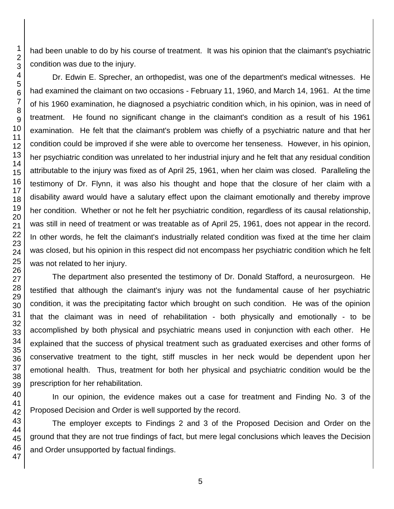had been unable to do by his course of treatment. It was his opinion that the claimant's psychiatric condition was due to the injury.

Dr. Edwin E. Sprecher, an orthopedist, was one of the department's medical witnesses. He had examined the claimant on two occasions - February 11, 1960, and March 14, 1961. At the time of his 1960 examination, he diagnosed a psychiatric condition which, in his opinion, was in need of treatment. He found no significant change in the claimant's condition as a result of his 1961 examination. He felt that the claimant's problem was chiefly of a psychiatric nature and that her condition could be improved if she were able to overcome her tenseness. However, in his opinion, her psychiatric condition was unrelated to her industrial injury and he felt that any residual condition attributable to the injury was fixed as of April 25, 1961, when her claim was closed. Paralleling the testimony of Dr. Flynn, it was also his thought and hope that the closure of her claim with a disability award would have a salutary effect upon the claimant emotionally and thereby improve her condition. Whether or not he felt her psychiatric condition, regardless of its causal relationship, was still in need of treatment or was treatable as of April 25, 1961, does not appear in the record. In other words, he felt the claimant's industrially related condition was fixed at the time her claim was closed, but his opinion in this respect did not encompass her psychiatric condition which he felt was not related to her injury.

The department also presented the testimony of Dr. Donald Stafford, a neurosurgeon. He testified that although the claimant's injury was not the fundamental cause of her psychiatric condition, it was the precipitating factor which brought on such condition. He was of the opinion that the claimant was in need of rehabilitation - both physically and emotionally - to be accomplished by both physical and psychiatric means used in conjunction with each other. He explained that the success of physical treatment such as graduated exercises and other forms of conservative treatment to the tight, stiff muscles in her neck would be dependent upon her emotional health. Thus, treatment for both her physical and psychiatric condition would be the prescription for her rehabilitation.

In our opinion, the evidence makes out a case for treatment and Finding No. 3 of the Proposed Decision and Order is well supported by the record.

The employer excepts to Findings 2 and 3 of the Proposed Decision and Order on the ground that they are not true findings of fact, but mere legal conclusions which leaves the Decision and Order unsupported by factual findings.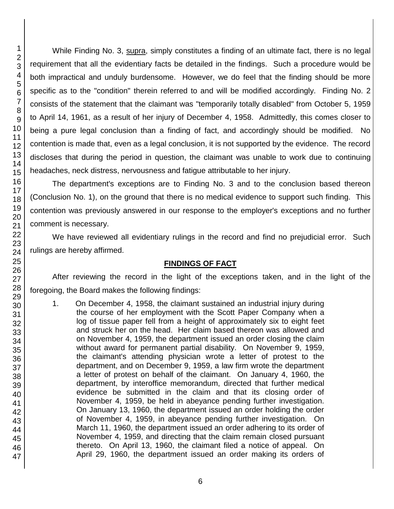While Finding No. 3, supra, simply constitutes a finding of an ultimate fact, there is no legal requirement that all the evidentiary facts be detailed in the findings. Such a procedure would be both impractical and unduly burdensome. However, we do feel that the finding should be more specific as to the "condition" therein referred to and will be modified accordingly. Finding No. 2 consists of the statement that the claimant was "temporarily totally disabled" from October 5, 1959 to April 14, 1961, as a result of her injury of December 4, 1958. Admittedly, this comes closer to being a pure legal conclusion than a finding of fact, and accordingly should be modified. No contention is made that, even as a legal conclusion, it is not supported by the evidence. The record discloses that during the period in question, the claimant was unable to work due to continuing headaches, neck distress, nervousness and fatigue attributable to her injury.

The department's exceptions are to Finding No. 3 and to the conclusion based thereon (Conclusion No. 1), on the ground that there is no medical evidence to support such finding. This contention was previously answered in our response to the employer's exceptions and no further comment is necessary.

We have reviewed all evidentiary rulings in the record and find no prejudicial error. Such rulings are hereby affirmed.

## **FINDINGS OF FACT**

After reviewing the record in the light of the exceptions taken, and in the light of the foregoing, the Board makes the following findings:

1. On December 4, 1958, the claimant sustained an industrial injury during the course of her employment with the Scott Paper Company when a log of tissue paper fell from a height of approximately six to eight feet and struck her on the head. Her claim based thereon was allowed and on November 4, 1959, the department issued an order closing the claim without award for permanent partial disability. On November 9, 1959, the claimant's attending physician wrote a letter of protest to the department, and on December 9, 1959, a law firm wrote the department a letter of protest on behalf of the claimant. On January 4, 1960, the department, by interoffice memorandum, directed that further medical evidence be submitted in the claim and that its closing order of November 4, 1959, be held in abeyance pending further investigation. On January 13, 1960, the department issued an order holding the order of November 4, 1959, in abeyance pending further investigation. On March 11, 1960, the department issued an order adhering to its order of November 4, 1959, and directing that the claim remain closed pursuant thereto. On April 13, 1960, the claimant filed a notice of appeal. On April 29, 1960, the department issued an order making its orders of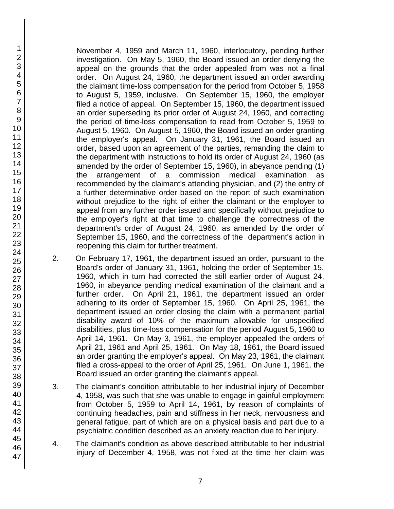November 4, 1959 and March 11, 1960, interlocutory, pending further investigation. On May 5, 1960, the Board issued an order denying the appeal on the grounds that the order appealed from was not a final order. On August 24, 1960, the department issued an order awarding the claimant time-loss compensation for the period from October 5, 1958 to August 5, 1959, inclusive. On September 15, 1960, the employer filed a notice of appeal. On September 15, 1960, the department issued an order superseding its prior order of August 24, 1960, and correcting the period of time-loss compensation to read from October 5, 1959 to August 5, 1960. On August 5, 1960, the Board issued an order granting the employer's appeal. On January 31, 1961, the Board issued an order, based upon an agreement of the parties, remanding the claim to the department with instructions to hold its order of August 24, 1960 (as amended by the order of September 15, 1960), in abeyance pending (1) the arrangement of a commission medical examination as recommended by the claimant's attending physician, and (2) the entry of a further determinative order based on the report of such examination without prejudice to the right of either the claimant or the employer to appeal from any further order issued and specifically without prejudice to the employer's right at that time to challenge the correctness of the department's order of August 24, 1960, as amended by the order of September 15, 1960, and the correctness of the department's action in reopening this claim for further treatment.

- 2. On February 17, 1961, the department issued an order, pursuant to the Board's order of January 31, 1961, holding the order of September 15, 1960, which in turn had corrected the still earlier order of August 24, 1960, in abeyance pending medical examination of the claimant and a further order. On April 21, 1961, the department issued an order adhering to its order of September 15, 1960. On April 25, 1961, the department issued an order closing the claim with a permanent partial disability award of 10% of the maximum allowable for unspecified disabilities, plus time-loss compensation for the period August 5, 1960 to April 14, 1961. On May 3, 1961, the employer appealed the orders of April 21, 1961 and April 25, 1961. On May 18, 1961, the Board issued an order granting the employer's appeal. On May 23, 1961, the claimant filed a cross-appeal to the order of April 25, 1961. On June 1, 1961, the Board issued an order granting the claimant's appeal.
- 3. The claimant's condition attributable to her industrial injury of December 4, 1958, was such that she was unable to engage in gainful employment from October 5, 1959 to April 14, 1961, by reason of complaints of continuing headaches, pain and stiffness in her neck, nervousness and general fatigue, part of which are on a physical basis and part due to a psychiatric condition described as an anxiety reaction due to her injury.
- 4. The claimant's condition as above described attributable to her industrial injury of December 4, 1958, was not fixed at the time her claim was